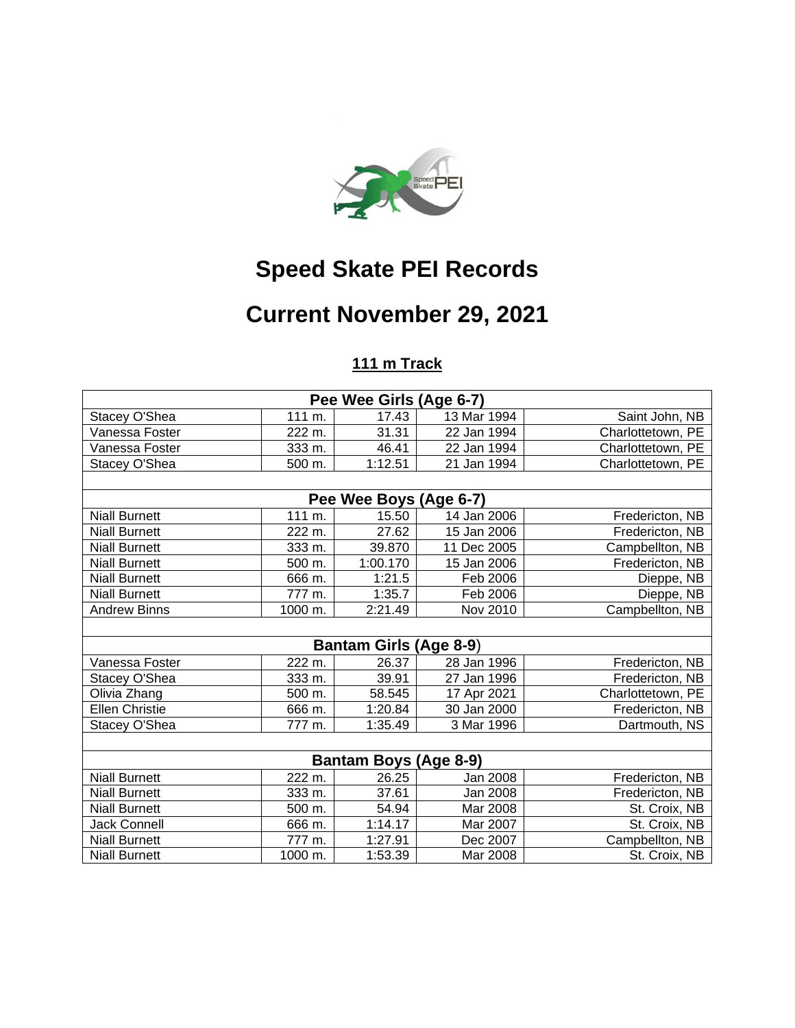

## **Speed Skate PEI Records**

# **Current November 29, 2021**

### **111 m Track**

| Pee Wee Girls (Age 6-7)       |                     |          |             |                   |  |  |  |  |
|-------------------------------|---------------------|----------|-------------|-------------------|--|--|--|--|
| Stacey O'Shea                 | 111 m.              | 17.43    | 13 Mar 1994 | Saint John, NB    |  |  |  |  |
| Vanessa Foster                | 222 m.              | 31.31    | 22 Jan 1994 | Charlottetown, PE |  |  |  |  |
| Vanessa Foster                | 333 m.              | 46.41    | 22 Jan 1994 | Charlottetown, PE |  |  |  |  |
| Stacey O'Shea                 | 500 m.              | 1:12.51  | 21 Jan 1994 | Charlottetown, PE |  |  |  |  |
|                               |                     |          |             |                   |  |  |  |  |
| Pee Wee Boys (Age 6-7)        |                     |          |             |                   |  |  |  |  |
| <b>Niall Burnett</b>          | 111 m.              | 15.50    | 14 Jan 2006 | Fredericton, NB   |  |  |  |  |
| <b>Niall Burnett</b>          | 222 m.              | 27.62    | 15 Jan 2006 | Fredericton, NB   |  |  |  |  |
| <b>Niall Burnett</b>          | 333 m.              | 39.870   | 11 Dec 2005 | Campbellton, NB   |  |  |  |  |
| <b>Niall Burnett</b>          | 500 m.              | 1:00.170 | 15 Jan 2006 | Fredericton, NB   |  |  |  |  |
| <b>Niall Burnett</b>          | 666 m.              | 1:21.5   | Feb 2006    | Dieppe, NB        |  |  |  |  |
| <b>Niall Burnett</b>          | 777 m.              | 1:35.7   | Feb 2006    | Dieppe, NB        |  |  |  |  |
| <b>Andrew Binns</b>           | 1000 m.             | 2:21.49  | Nov 2010    | Campbellton, NB   |  |  |  |  |
|                               |                     |          |             |                   |  |  |  |  |
| <b>Bantam Girls (Age 8-9)</b> |                     |          |             |                   |  |  |  |  |
| Vanessa Foster                | 222 m.              | 26.37    | 28 Jan 1996 | Fredericton, NB   |  |  |  |  |
| Stacey O'Shea                 | $\overline{3}33$ m. | 39.91    | 27 Jan 1996 | Fredericton, NB   |  |  |  |  |
| Olivia Zhang                  | 500 m.              | 58.545   | 17 Apr 2021 | Charlottetown, PE |  |  |  |  |
| <b>Ellen Christie</b>         | 666 m.              | 1:20.84  | 30 Jan 2000 | Fredericton, NB   |  |  |  |  |
| Stacey O'Shea                 | 777 m.              | 1:35.49  | 3 Mar 1996  | Dartmouth, NS     |  |  |  |  |
|                               |                     |          |             |                   |  |  |  |  |
| <b>Bantam Boys (Age 8-9)</b>  |                     |          |             |                   |  |  |  |  |
| <b>Niall Burnett</b>          | 222 m.              | 26.25    | Jan 2008    | Fredericton, NB   |  |  |  |  |
| <b>Niall Burnett</b>          | 333 m.              | 37.61    | Jan 2008    | Fredericton, NB   |  |  |  |  |
| <b>Niall Burnett</b>          | 500 m.              | 54.94    | Mar 2008    | St. Croix, NB     |  |  |  |  |
| <b>Jack Connell</b>           | 666 m.              | 1:14.17  | Mar 2007    | St. Croix, NB     |  |  |  |  |
| <b>Niall Burnett</b>          | 777 m.              | 1:27.91  | Dec 2007    | Campbellton, NB   |  |  |  |  |
| <b>Niall Burnett</b>          | 1000 m.             | 1:53.39  | Mar 2008    | St. Croix, NB     |  |  |  |  |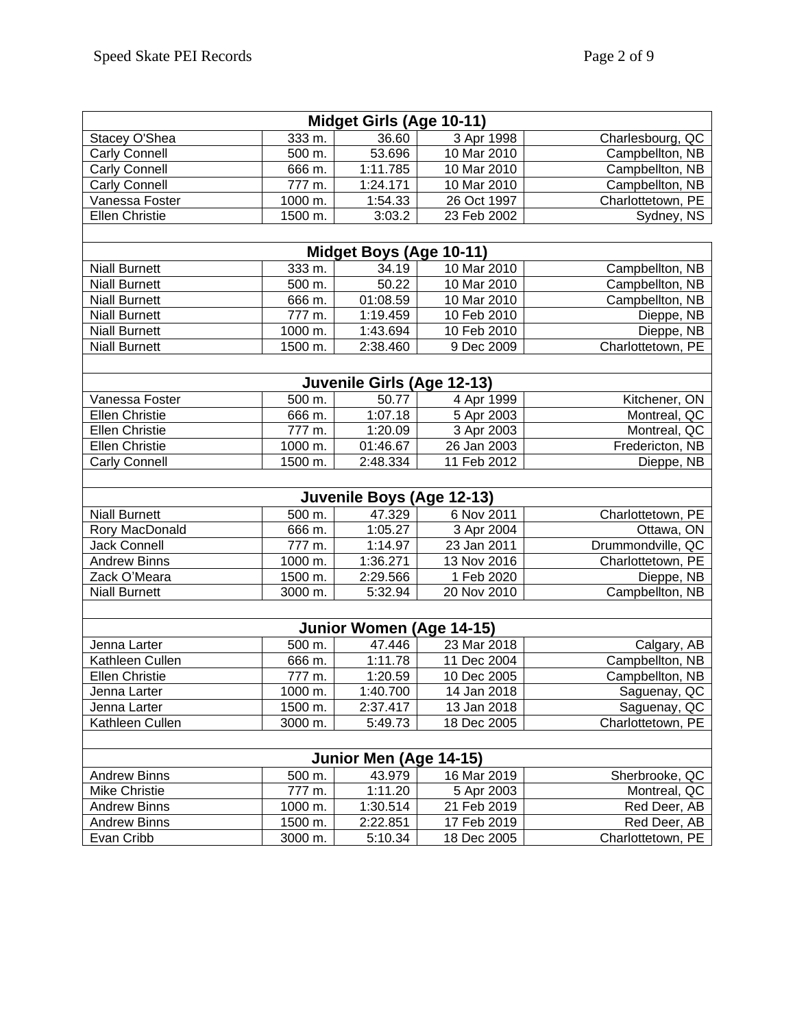| Midget Girls (Age 10-11)  |         |                            |             |                   |  |  |  |  |  |
|---------------------------|---------|----------------------------|-------------|-------------------|--|--|--|--|--|
| Stacey O'Shea             | 333 m.  | 36.60                      | 3 Apr 1998  | Charlesbourg, QC  |  |  |  |  |  |
| <b>Carly Connell</b>      | 500 m.  | 53.696                     | 10 Mar 2010 | Campbellton, NB   |  |  |  |  |  |
| <b>Carly Connell</b>      | 666 m.  | 1:11.785                   | 10 Mar 2010 | Campbellton, NB   |  |  |  |  |  |
| <b>Carly Connell</b>      | 777 m.  | 1:24.171                   | 10 Mar 2010 | Campbellton, NB   |  |  |  |  |  |
| Vanessa Foster            | 1000 m. | 1:54.33                    | 26 Oct 1997 | Charlottetown, PE |  |  |  |  |  |
| <b>Ellen Christie</b>     | 1500 m. | 3:03.2                     | 23 Feb 2002 | Sydney, NS        |  |  |  |  |  |
|                           |         |                            |             |                   |  |  |  |  |  |
|                           |         | Midget Boys (Age 10-11)    |             |                   |  |  |  |  |  |
| <b>Niall Burnett</b>      | 333 m.  | 34.19                      | 10 Mar 2010 | Campbellton, NB   |  |  |  |  |  |
| <b>Niall Burnett</b>      | 500 m.  | 50.22                      | 10 Mar 2010 | Campbellton, NB   |  |  |  |  |  |
| <b>Niall Burnett</b>      | 666 m.  | 01:08.59                   | 10 Mar 2010 | Campbellton, NB   |  |  |  |  |  |
| <b>Niall Burnett</b>      | 777 m.  | 1:19.459                   | 10 Feb 2010 | Dieppe, NB        |  |  |  |  |  |
| <b>Niall Burnett</b>      | 1000 m. | 1:43.694                   | 10 Feb 2010 | Dieppe, NB        |  |  |  |  |  |
| <b>Niall Burnett</b>      | 1500 m. | 2:38.460                   | 9 Dec 2009  | Charlottetown, PE |  |  |  |  |  |
|                           |         |                            |             |                   |  |  |  |  |  |
|                           |         | Juvenile Girls (Age 12-13) |             |                   |  |  |  |  |  |
| Vanessa Foster            | 500 m.  | 50.77                      | 4 Apr 1999  | Kitchener, ON     |  |  |  |  |  |
| <b>Ellen Christie</b>     | 666 m.  | 1:07.18                    | 5 Apr 2003  | Montreal, QC      |  |  |  |  |  |
| <b>Ellen Christie</b>     | 777 m.  | 1:20.09                    | 3 Apr 2003  | Montreal, QC      |  |  |  |  |  |
| <b>Ellen Christie</b>     | 1000 m. | 01:46.67                   | 26 Jan 2003 | Fredericton, NB   |  |  |  |  |  |
| <b>Carly Connell</b>      | 1500 m. | 2:48.334                   | 11 Feb 2012 | Dieppe, NB        |  |  |  |  |  |
|                           |         |                            |             |                   |  |  |  |  |  |
| Juvenile Boys (Age 12-13) |         |                            |             |                   |  |  |  |  |  |
| <b>Niall Burnett</b>      | 500 m.  | 47.329                     | 6 Nov 2011  | Charlottetown, PE |  |  |  |  |  |
| Rory MacDonald            | 666 m.  | 1:05.27                    | 3 Apr 2004  | Ottawa, ON        |  |  |  |  |  |
| <b>Jack Connell</b>       | 777 m.  | 1:14.97                    | 23 Jan 2011 | Drummondville, QC |  |  |  |  |  |
| <b>Andrew Binns</b>       | 1000 m. | 1:36.271                   | 13 Nov 2016 | Charlottetown, PE |  |  |  |  |  |
| Zack O'Meara              | 1500 m. | 2:29.566                   | 1 Feb 2020  | Dieppe, NB        |  |  |  |  |  |
| <b>Niall Burnett</b>      | 3000 m. | 5:32.94                    | 20 Nov 2010 | Campbellton, NB   |  |  |  |  |  |
|                           |         |                            |             |                   |  |  |  |  |  |
| Junior Women (Age 14-15)  |         |                            |             |                   |  |  |  |  |  |
| Jenna Larter              | 500 m.  | 47.446                     | 23 Mar 2018 | Calgary, AB       |  |  |  |  |  |
| Kathleen Cullen           | 666 m.  | 1:11.78                    | 11 Dec 2004 | Campbellton, NB   |  |  |  |  |  |
| <b>Ellen Christie</b>     | 777 m.  | 1:20.59                    | 10 Dec 2005 | Campbellton, NB   |  |  |  |  |  |
| Jenna Larter              | 1000 m. | 1:40.700                   | 14 Jan 2018 | Saguenay, QC      |  |  |  |  |  |
| Jenna Larter              | 1500 m. | 2:37.417                   | 13 Jan 2018 | Saguenay, QC      |  |  |  |  |  |
| Kathleen Cullen           | 3000 m. | 5:49.73                    | 18 Dec 2005 | Charlottetown, PE |  |  |  |  |  |
|                           |         |                            |             |                   |  |  |  |  |  |
|                           |         | Junior Men (Age 14-15)     |             |                   |  |  |  |  |  |
| <b>Andrew Binns</b>       | 500 m.  | 43.979                     | 16 Mar 2019 | Sherbrooke, QC    |  |  |  |  |  |
| <b>Mike Christie</b>      | 777 m.  | 1:11.20                    | 5 Apr 2003  | Montreal, QC      |  |  |  |  |  |
| <b>Andrew Binns</b>       | 1000 m. | 1:30.514                   | 21 Feb 2019 | Red Deer, AB      |  |  |  |  |  |
| <b>Andrew Binns</b>       | 1500 m. | 2:22.851                   | 17 Feb 2019 | Red Deer, AB      |  |  |  |  |  |
| Evan Cribb                | 3000 m. | 5:10.34                    | 18 Dec 2005 | Charlottetown, PE |  |  |  |  |  |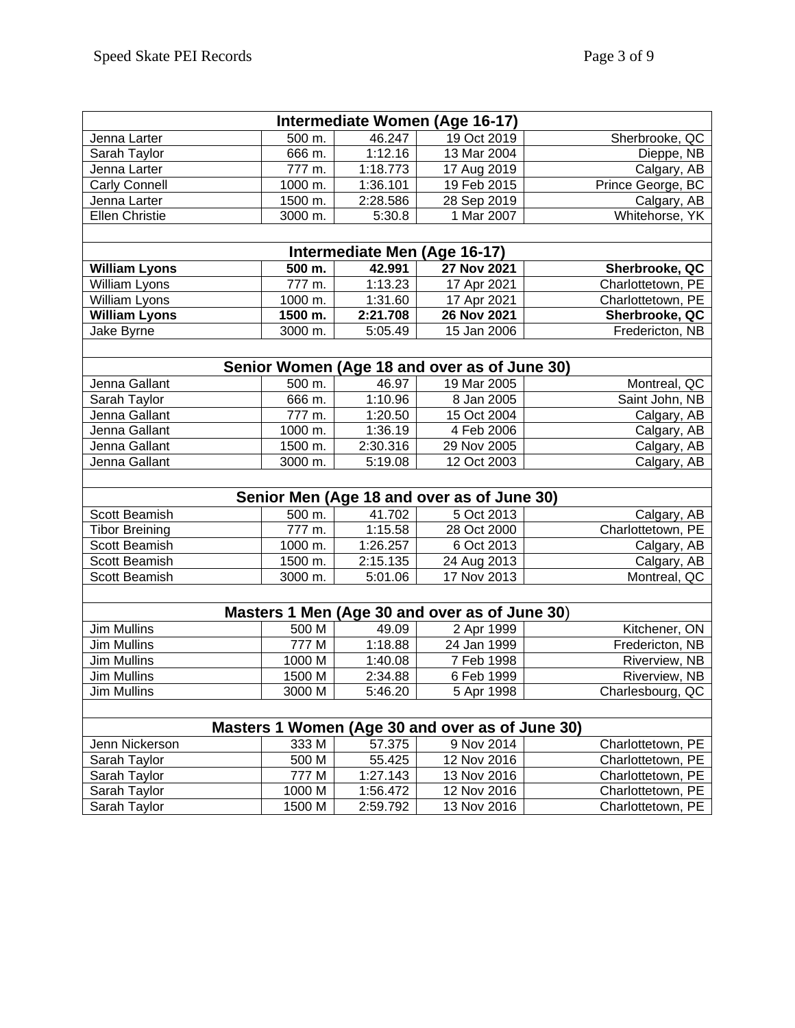| Intermediate Women (Age 16-17)             |                    |          |                                                 |                   |  |  |  |  |
|--------------------------------------------|--------------------|----------|-------------------------------------------------|-------------------|--|--|--|--|
| Jenna Larter                               | 500 m.             | 46.247   | 19 Oct 2019                                     | Sherbrooke, QC    |  |  |  |  |
| Sarah Taylor                               | 666 m.             | 1:12.16  | 13 Mar 2004                                     | Dieppe, NB        |  |  |  |  |
| Jenna Larter                               | $\frac{1}{777}$ m. | 1:18.773 | 17 Aug 2019                                     | Calgary, AB       |  |  |  |  |
| <b>Carly Connell</b>                       | 1000 m.            | 1:36.101 | 19 Feb 2015                                     | Prince George, BC |  |  |  |  |
| Jenna Larter                               | 1500 m.            | 2:28.586 | 28 Sep 2019                                     | Calgary, AB       |  |  |  |  |
| <b>Ellen Christie</b>                      | 3000 m.            | 5:30.8   | 1 Mar 2007                                      | Whitehorse, YK    |  |  |  |  |
|                                            |                    |          |                                                 |                   |  |  |  |  |
| Intermediate Men (Age 16-17)               |                    |          |                                                 |                   |  |  |  |  |
| <b>William Lyons</b>                       | 500 m.             | 42.991   | 27 Nov 2021                                     | Sherbrooke, QC    |  |  |  |  |
| William Lyons                              | 777 m.             | 1:13.23  | 17 Apr 2021                                     | Charlottetown, PE |  |  |  |  |
| William Lyons                              | 1000 m.            | 1:31.60  | 17 Apr 2021                                     | Charlottetown, PE |  |  |  |  |
| <b>William Lyons</b>                       | 1500 m.            | 2:21.708 | 26 Nov 2021                                     | Sherbrooke, QC    |  |  |  |  |
| Jake Byrne                                 | 3000 m.            | 5:05.49  | 15 Jan 2006                                     | Fredericton, NB   |  |  |  |  |
|                                            |                    |          |                                                 |                   |  |  |  |  |
|                                            |                    |          | Senior Women (Age 18 and over as of June 30)    |                   |  |  |  |  |
| Jenna Gallant                              | 500 m.             | 46.97    | 19 Mar 2005                                     | Montreal, QC      |  |  |  |  |
| Sarah Taylor                               | 666 m.             | 1:10.96  | 8 Jan 2005                                      | Saint John, NB    |  |  |  |  |
| Jenna Gallant                              | 777 m.             | 1:20.50  | 15 Oct 2004                                     | Calgary, AB       |  |  |  |  |
| Jenna Gallant                              | 1000 m.            | 1:36.19  | 4 Feb 2006                                      | Calgary, AB       |  |  |  |  |
| Jenna Gallant                              | 1500 m.            | 2:30.316 | 29 Nov 2005                                     | Calgary, AB       |  |  |  |  |
| Jenna Gallant                              | 3000 m.            | 5:19.08  | 12 Oct 2003                                     | Calgary, AB       |  |  |  |  |
|                                            |                    |          |                                                 |                   |  |  |  |  |
| Senior Men (Age 18 and over as of June 30) |                    |          |                                                 |                   |  |  |  |  |
| Scott Beamish                              | 500 m.             | 41.702   | 5 Oct 2013                                      | Calgary, AB       |  |  |  |  |
| <b>Tibor Breining</b>                      | 777 m.             | 1:15.58  | 28 Oct 2000                                     | Charlottetown, PE |  |  |  |  |
| Scott Beamish                              | 1000 m.            | 1:26.257 | 6 Oct 2013                                      | Calgary, AB       |  |  |  |  |
| Scott Beamish                              | 1500 m.            | 2:15.135 | 24 Aug 2013                                     | Calgary, AB       |  |  |  |  |
| Scott Beamish                              | 3000 m.            | 5:01.06  | 17 Nov 2013                                     | Montreal, QC      |  |  |  |  |
|                                            |                    |          |                                                 |                   |  |  |  |  |
|                                            |                    |          | Masters 1 Men (Age 30 and over as of June 30)   |                   |  |  |  |  |
| Jim Mullins                                | 500 M              | 49.09    | 2 Apr 1999                                      | Kitchener, ON     |  |  |  |  |
| <b>Jim Mullins</b>                         | 777 M              | 1:18.88  | 24 Jan 1999                                     | Fredericton, NB   |  |  |  |  |
| <b>Jim Mullins</b>                         | 1000 M             | 1:40.08  | 7 Feb 1998                                      | Riverview, NB     |  |  |  |  |
| Jim Mullins                                | 1500 M             | 2:34.88  | 6 Feb 1999                                      | Riverview, NB     |  |  |  |  |
| <b>Jim Mullins</b>                         | 3000 M             | 5:46.20  | 5 Apr 1998                                      | Charlesbourg, QC  |  |  |  |  |
|                                            |                    |          |                                                 |                   |  |  |  |  |
|                                            |                    |          | Masters 1 Women (Age 30 and over as of June 30) |                   |  |  |  |  |
| Jenn Nickerson                             | 333 M              | 57.375   | 9 Nov 2014                                      | Charlottetown, PE |  |  |  |  |
| Sarah Taylor                               | 500 M              | 55.425   | 12 Nov 2016                                     | Charlottetown, PE |  |  |  |  |
| Sarah Taylor                               | 777 M              | 1:27.143 | 13 Nov 2016                                     | Charlottetown, PE |  |  |  |  |
| Sarah Taylor                               | 1000 M             | 1:56.472 | 12 Nov 2016                                     | Charlottetown, PE |  |  |  |  |
| Sarah Taylor                               | 1500 M             | 2:59.792 | 13 Nov 2016                                     | Charlottetown, PE |  |  |  |  |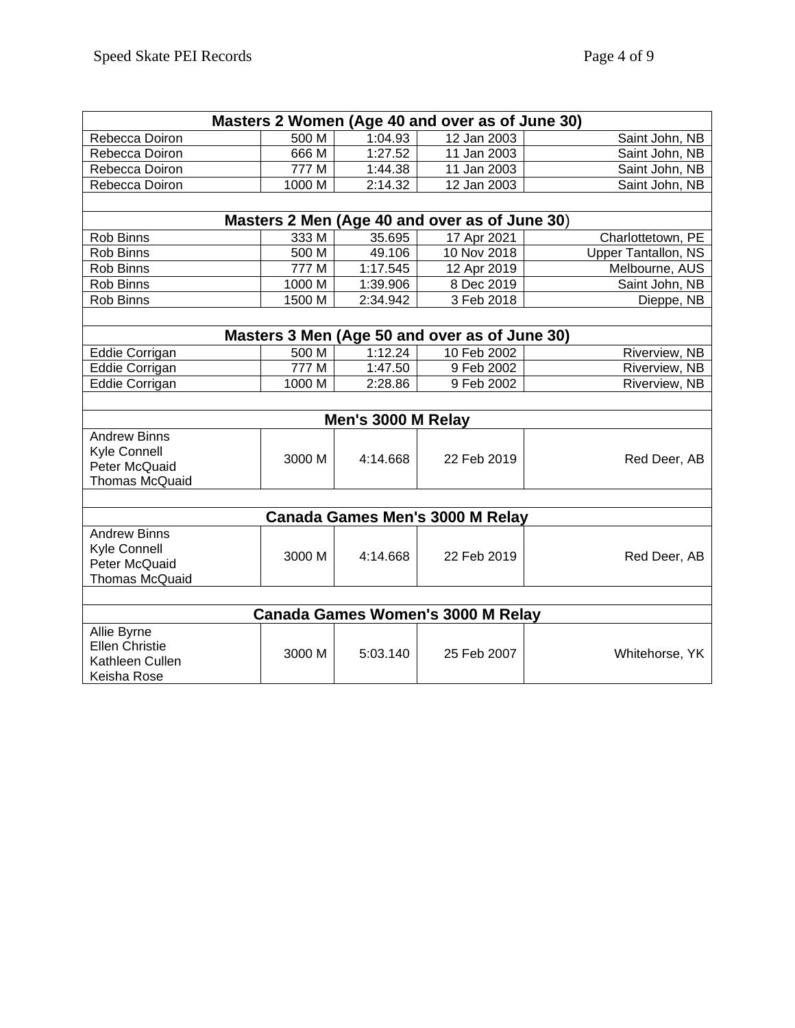| Masters 2 Women (Age 40 and over as of June 30) |                    |          |                                               |                     |  |  |  |  |
|-------------------------------------------------|--------------------|----------|-----------------------------------------------|---------------------|--|--|--|--|
| Rebecca Doiron                                  | 500 M              | 1:04.93  | $\overline{12}$ Jan 2003                      | Saint John, NB      |  |  |  |  |
| Rebecca Doiron                                  | 666 M              | 1:27.52  | 11 Jan 2003                                   | Saint John, NB      |  |  |  |  |
| Rebecca Doiron                                  | 777 M              | 1:44.38  | $11$ Jan 2003                                 | Saint John, NB      |  |  |  |  |
| Rebecca Doiron                                  | 1000 M             | 2:14.32  | 12 Jan 2003                                   | Saint John, NB      |  |  |  |  |
|                                                 |                    |          |                                               |                     |  |  |  |  |
| Masters 2 Men (Age 40 and over as of June 30)   |                    |          |                                               |                     |  |  |  |  |
| Rob Binns                                       | 333 M              | 35.695   | 17 Apr 2021                                   | Charlottetown, PE   |  |  |  |  |
| Rob Binns                                       | $\overline{500}$ M | 49.106   | 10 Nov 2018                                   | Upper Tantallon, NS |  |  |  |  |
| Rob Binns                                       | 777 M              | 1:17.545 | 12 Apr 2019                                   | Melbourne, AUS      |  |  |  |  |
| Rob Binns                                       | 1000 M             | 1:39.906 | 8 Dec 2019                                    | Saint John, NB      |  |  |  |  |
| Rob Binns                                       | 1500 M             | 2:34.942 | 3 Feb 2018                                    | Dieppe, NB          |  |  |  |  |
|                                                 |                    |          |                                               |                     |  |  |  |  |
|                                                 |                    |          | Masters 3 Men (Age 50 and over as of June 30) |                     |  |  |  |  |
| Eddie Corrigan                                  | 500 M              | 1:12.24  | 10 Feb 2002                                   | Riverview, NB       |  |  |  |  |
| Eddie Corrigan                                  | 777 M              | 1:47.50  | 9 Feb 2002                                    | Riverview, NB       |  |  |  |  |
| Eddie Corrigan                                  | 1000 M             | 2:28.86  | 9 Feb 2002                                    | Riverview, NB       |  |  |  |  |
|                                                 |                    |          |                                               |                     |  |  |  |  |
| Men's 3000 M Relay                              |                    |          |                                               |                     |  |  |  |  |
| <b>Andrew Binns</b>                             |                    |          |                                               |                     |  |  |  |  |
| <b>Kyle Connell</b>                             | 3000 M             | 4:14.668 | 22 Feb 2019                                   | Red Deer, AB        |  |  |  |  |
| Peter McQuaid                                   |                    |          |                                               |                     |  |  |  |  |
| <b>Thomas McQuaid</b>                           |                    |          |                                               |                     |  |  |  |  |
|                                                 |                    |          |                                               |                     |  |  |  |  |
|                                                 |                    |          | Canada Games Men's 3000 M Relay               |                     |  |  |  |  |
| <b>Andrew Binns</b>                             |                    |          |                                               |                     |  |  |  |  |
| Kyle Connell                                    | 3000 M             | 4:14.668 | 22 Feb 2019                                   | Red Deer, AB        |  |  |  |  |
| Peter McQuaid                                   |                    |          |                                               |                     |  |  |  |  |
| <b>Thomas McQuaid</b>                           |                    |          |                                               |                     |  |  |  |  |
|                                                 |                    |          |                                               |                     |  |  |  |  |
|                                                 |                    |          | Canada Games Women's 3000 M Relay             |                     |  |  |  |  |
| Allie Byrne                                     |                    |          |                                               |                     |  |  |  |  |
| <b>Ellen Christie</b>                           | 3000 M             | 5:03.140 | 25 Feb 2007                                   | Whitehorse, YK      |  |  |  |  |
| Kathleen Cullen                                 |                    |          |                                               |                     |  |  |  |  |
| Keisha Rose                                     |                    |          |                                               |                     |  |  |  |  |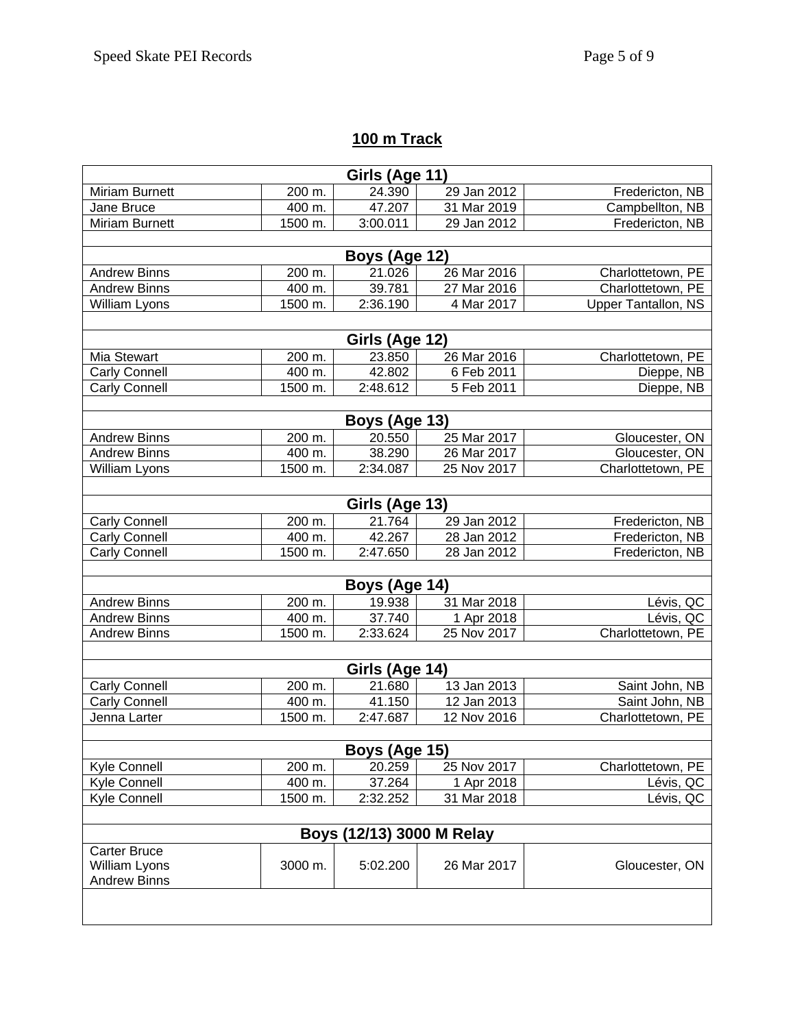### **100 m Track**

| Girls (Age 11)        |                    |                           |                            |                                        |  |  |  |  |
|-----------------------|--------------------|---------------------------|----------------------------|----------------------------------------|--|--|--|--|
| <b>Miriam Burnett</b> | 200 m.             | 24.390                    | 29 Jan 2012                | Fredericton, NB                        |  |  |  |  |
| Jane Bruce            | 400 m.             | 47.207                    | 31 Mar 2019                | Campbellton, NB                        |  |  |  |  |
| <b>Miriam Burnett</b> | 1500 m.            | 3:00.011                  | 29 Jan 2012                | Fredericton, NB                        |  |  |  |  |
| Boys (Age 12)         |                    |                           |                            |                                        |  |  |  |  |
|                       |                    |                           |                            |                                        |  |  |  |  |
| <b>Andrew Binns</b>   | 200 m.<br>400 m.   | 21.026<br>39.781          | 26 Mar 2016<br>27 Mar 2016 | Charlottetown, PE<br>Charlottetown, PE |  |  |  |  |
| <b>Andrew Binns</b>   | 1500 m.            | 2:36.190                  | 4 Mar 2017                 | <b>Upper Tantallon, NS</b>             |  |  |  |  |
| William Lyons         |                    |                           |                            |                                        |  |  |  |  |
|                       |                    | Girls (Age 12)            |                            |                                        |  |  |  |  |
| Mia Stewart           | 200 m.             | 23.850                    | 26 Mar 2016                | Charlottetown, PE                      |  |  |  |  |
| Carly Connell         | 400 m.             | 42.802                    | 6 Feb 2011                 | Dieppe, NB                             |  |  |  |  |
| Carly Connell         | 1500 m.            | 2:48.612                  | 5 Feb 2011                 | Dieppe, NB                             |  |  |  |  |
|                       |                    |                           |                            |                                        |  |  |  |  |
|                       |                    | Boys (Age 13)             |                            |                                        |  |  |  |  |
| <b>Andrew Binns</b>   | 200 m.             | 20.550                    | 25 Mar 2017                | Gloucester, ON                         |  |  |  |  |
| <b>Andrew Binns</b>   | 400 m.             | 38.290                    | 26 Mar 2017                | Gloucester, ON                         |  |  |  |  |
| William Lyons         | 1500 m.            | 2:34.087                  | 25 Nov 2017                | Charlottetown, PE                      |  |  |  |  |
|                       |                    | Girls (Age 13)            |                            |                                        |  |  |  |  |
| <b>Carly Connell</b>  | 200 m.             | 21.764                    | 29 Jan 2012                | Fredericton, NB                        |  |  |  |  |
| <b>Carly Connell</b>  | $\frac{400}{3}$ m. | 42.267                    | 28 Jan 2012                | Fredericton, NB                        |  |  |  |  |
| <b>Carly Connell</b>  | 1500 m.            | 2:47.650                  | 28 Jan 2012                | Fredericton, NB                        |  |  |  |  |
|                       |                    |                           |                            |                                        |  |  |  |  |
| Boys (Age 14)         |                    |                           |                            |                                        |  |  |  |  |
| <b>Andrew Binns</b>   | 200 m.             | 19.938                    | 31 Mar 2018                | Lévis, QC                              |  |  |  |  |
| <b>Andrew Binns</b>   | 400 m.             | 37.740                    | 1 Apr 2018                 | Lévis, QC                              |  |  |  |  |
| <b>Andrew Binns</b>   | 1500 m.            | 2:33.624                  | 25 Nov 2017                | Charlottetown, PE                      |  |  |  |  |
|                       |                    |                           |                            |                                        |  |  |  |  |
|                       |                    | Girls (Age 14)            |                            |                                        |  |  |  |  |
| <b>Carly Connell</b>  | 200 m.             | 21.680                    | 13 Jan 2013                | Saint John, NB                         |  |  |  |  |
| <b>Carly Connell</b>  | 400 m.             | 41.150<br>2:47.687        | 12 Jan 2013<br>12 Nov 2016 | Saint John, NB<br>Charlottetown, PE    |  |  |  |  |
| Jenna Larter          | 1500 m.            |                           |                            |                                        |  |  |  |  |
|                       |                    | Boys (Age 15)             |                            |                                        |  |  |  |  |
| Kyle Connell          | 200 m.             | 20.259                    | 25 Nov 2017                | Charlottetown, PE                      |  |  |  |  |
| Kyle Connell          | 400 m.             | 37.264                    | 1 Apr 2018                 | Lévis, QC                              |  |  |  |  |
| Kyle Connell          | 1500 m.            | 2:32.252                  | 31 Mar 2018                | Lévis, QC                              |  |  |  |  |
|                       |                    |                           |                            |                                        |  |  |  |  |
|                       |                    | Boys (12/13) 3000 M Relay |                            |                                        |  |  |  |  |
| <b>Carter Bruce</b>   |                    |                           |                            |                                        |  |  |  |  |
| William Lyons         | 3000 m.            | 5:02.200                  | 26 Mar 2017                | Gloucester, ON                         |  |  |  |  |
| <b>Andrew Binns</b>   |                    |                           |                            |                                        |  |  |  |  |
|                       |                    |                           |                            |                                        |  |  |  |  |
|                       |                    |                           |                            |                                        |  |  |  |  |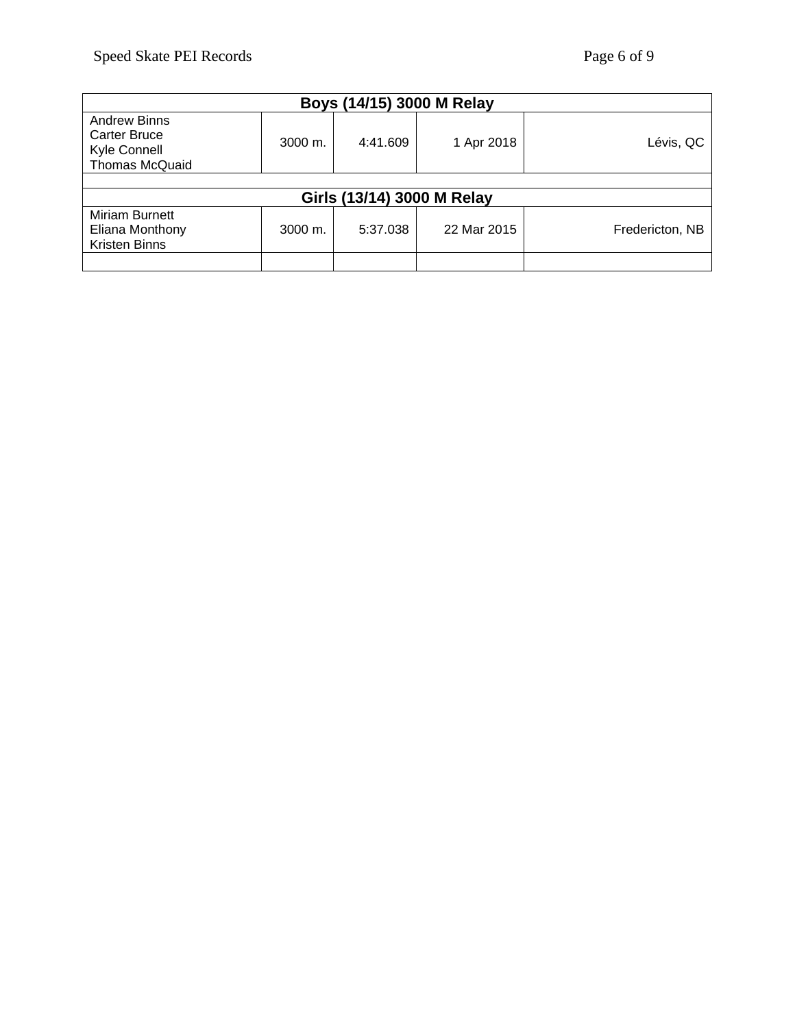| Boys (14/15) 3000 M Relay                                             |                      |          |             |                 |  |  |
|-----------------------------------------------------------------------|----------------------|----------|-------------|-----------------|--|--|
| <b>Andrew Binns</b><br>Carter Bruce<br>Kyle Connell<br>Thomas McQuaid | $3000 \; \text{m}$ . | 4:41.609 | 1 Apr 2018  | Lévis, QC       |  |  |
|                                                                       |                      |          |             |                 |  |  |
| Girls (13/14) 3000 M Relay                                            |                      |          |             |                 |  |  |
| Miriam Burnett<br>Eliana Monthony<br>Kristen Binns                    | $3000 \; \text{m}$ . | 5:37.038 | 22 Mar 2015 | Fredericton, NB |  |  |
|                                                                       |                      |          |             |                 |  |  |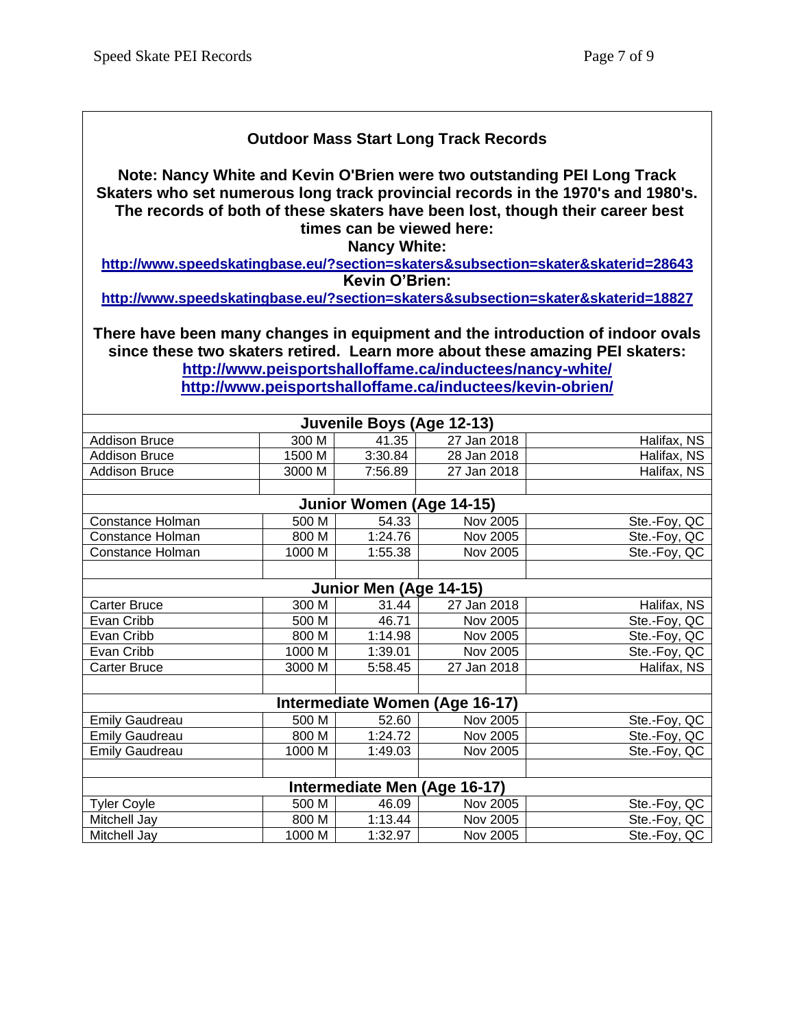#### **Outdoor Mass Start Long Track Records**

**Note: Nancy White and Kevin O'Brien were two outstanding PEI Long Track Skaters who set numerous long track provincial records in the 1970's and 1980's. The records of both of these skaters have been lost, though their career best times can be viewed here:**

**Nancy White:** 

**<http://www.speedskatingbase.eu/?section=skaters&subsection=skater&skaterid=28643> Kevin O'Brien:**

**<http://www.speedskatingbase.eu/?section=skaters&subsection=skater&skaterid=18827>**

**There have been many changes in equipment and the introduction of indoor ovals since these two skaters retired. Learn more about these amazing PEI skaters: <http://www.peisportshalloffame.ca/inductees/nancy-white/> <http://www.peisportshalloffame.ca/inductees/kevin-obrien/>**

|                       |        | Juvenile Boys (Age 12-13) |                                |              |
|-----------------------|--------|---------------------------|--------------------------------|--------------|
| <b>Addison Bruce</b>  | 300 M  | 41.35                     | 27 Jan 2018                    | Halifax, NS  |
| <b>Addison Bruce</b>  | 1500 M | 3:30.84                   | 28 Jan 2018                    | Halifax, NS  |
| <b>Addison Bruce</b>  | 3000 M | 7:56.89                   | 27 Jan 2018                    | Halifax, NS  |
|                       |        |                           |                                |              |
|                       |        |                           | Junior Women (Age 14-15)       |              |
| Constance Holman      | 500 M  | 54.33                     | Nov 2005                       | Ste.-Foy, QC |
| Constance Holman      | 800 M  | 1:24.76                   | Nov 2005                       | Ste.-Foy, QC |
| Constance Holman      | 1000 M | 1:55.38                   | Nov 2005                       | Ste.-Foy, QC |
|                       |        |                           |                                |              |
|                       |        | Junior Men (Age 14-15)    |                                |              |
| Carter Bruce          | 300 M  | 31.44                     | 27 Jan 2018                    | Halifax, NS  |
| Evan Cribb            | 500 M  | 46.71                     | Nov 2005                       | Ste.-Foy, QC |
| Evan Cribb            | 800 M  | 1:14.98                   | Nov 2005                       | Ste.-Foy, QC |
| Evan Cribb            | 1000 M | 1:39.01                   | Nov 2005                       | Ste.-Foy, QC |
| Carter Bruce          | 3000 M | 5:58.45                   | 27 Jan 2018                    | Halifax, NS  |
|                       |        |                           |                                |              |
|                       |        |                           | Intermediate Women (Age 16-17) |              |
| <b>Emily Gaudreau</b> | 500 M  | 52.60                     | Nov 2005                       | Ste.-Foy, QC |
| <b>Emily Gaudreau</b> | 800 M  | 1:24.72                   | Nov 2005                       | Ste.-Foy, QC |
| <b>Emily Gaudreau</b> | 1000 M | 1:49.03                   | Nov 2005                       | Ste.-Foy, QC |
|                       |        |                           |                                |              |
|                       |        |                           | Intermediate Men (Age 16-17)   |              |
| <b>Tyler Coyle</b>    | 500 M  | 46.09                     | Nov 2005                       | Ste.-Foy, QC |
| Mitchell Jay          | 800 M  | 1:13.44                   | Nov 2005                       | Ste.-Foy, QC |
| Mitchell Jay          | 1000 M | 1:32.97                   | Nov 2005                       | Ste.-Foy, QC |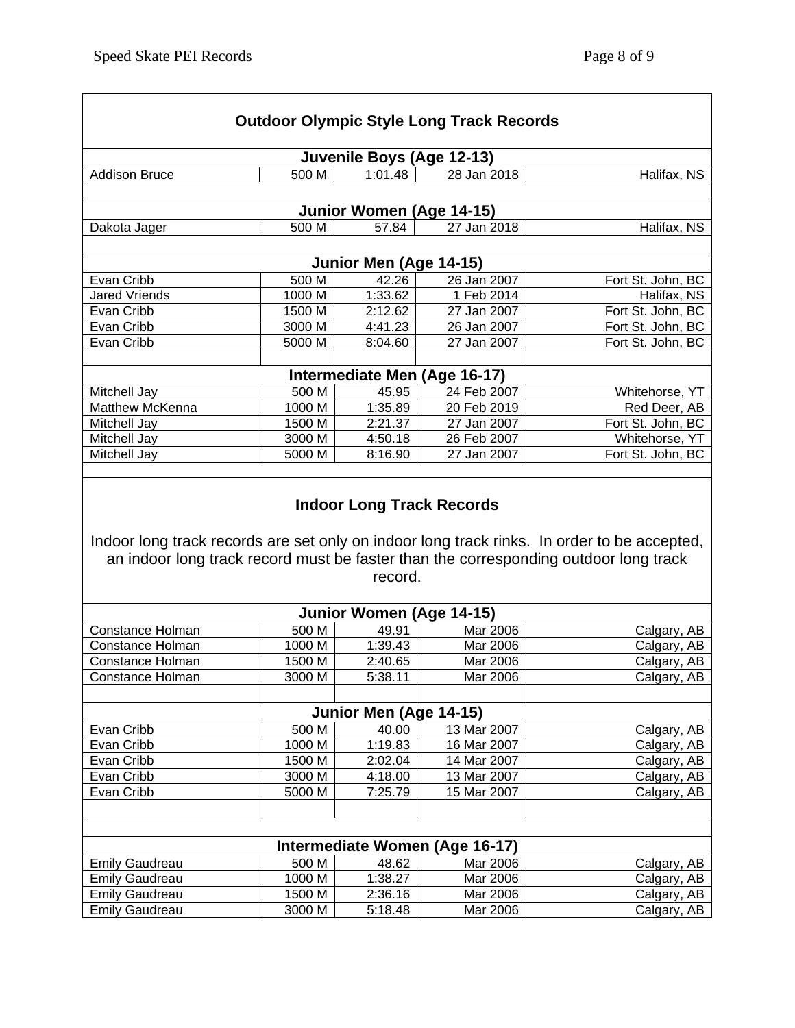|                                                |                  |                           | <b>Outdoor Olympic Style Long Track Records</b> |                                                                                      |
|------------------------------------------------|------------------|---------------------------|-------------------------------------------------|--------------------------------------------------------------------------------------|
|                                                |                  | Juvenile Boys (Age 12-13) |                                                 |                                                                                      |
| <b>Addison Bruce</b>                           | 500 M            | 1:01.48                   | 28 Jan 2018                                     | Halifax, NS                                                                          |
|                                                |                  | Junior Women (Age 14-15)  |                                                 |                                                                                      |
| Dakota Jager                                   | 500 M            | 57.84                     | 27 Jan 2018                                     | Halifax, NS                                                                          |
|                                                |                  |                           |                                                 |                                                                                      |
|                                                |                  | Junior Men (Age 14-15)    |                                                 |                                                                                      |
| Evan Cribb                                     | 500 M            | 42.26                     | 26 Jan 2007                                     | Fort St. John, BC                                                                    |
| <b>Jared Vriends</b>                           | 1000 M           | 1:33.62                   | 1 Feb 2014                                      | Halifax, NS                                                                          |
| Evan Cribb                                     | 1500 M           | 2:12.62                   | 27 Jan 2007                                     | Fort St. John, BC                                                                    |
| Evan Cribb                                     | 3000 M           | 4:41.23                   | 26 Jan 2007                                     | Fort St. John, BC                                                                    |
| Evan Cribb                                     | 5000 M           | 8:04.60                   | 27 Jan 2007                                     | Fort St. John, BC                                                                    |
|                                                |                  |                           | Intermediate Men (Age 16-17)                    |                                                                                      |
| Mitchell Jay                                   | 500 M            | 45.95                     | 24 Feb 2007                                     | Whitehorse, YT                                                                       |
| <b>Matthew McKenna</b>                         | 1000 M           | 1:35.89                   | 20 Feb 2019                                     | Red Deer, AB                                                                         |
| Mitchell Jay                                   | 1500 M           | 2:21.37                   | 27 Jan 2007                                     | Fort St. John, BC                                                                    |
| Mitchell Jay                                   | 3000 M           | 4:50.18                   | 26 Feb 2007                                     | Whitehorse, YT                                                                       |
| Mitchell Jay                                   | 5000 M           | 8:16.90                   | 27 Jan 2007                                     | Fort St. John, BC                                                                    |
|                                                |                  |                           |                                                 |                                                                                      |
|                                                |                  | record.                   |                                                 | an indoor long track record must be faster than the corresponding outdoor long track |
|                                                |                  | Junior Women (Age 14-15)  |                                                 |                                                                                      |
| Constance Holman                               | 500 M            | 49.91                     | Mar 2006                                        |                                                                                      |
| Constance Holman                               | 1000 M           | 1:39.43                   | Mar 2006                                        |                                                                                      |
| <b>Constance Holman</b>                        | 1500 M           | 2:40.65                   | Mar 2006                                        |                                                                                      |
| Constance Holman                               | 3000 M           | 5:38.11                   | Mar 2006                                        | Calgary, AB<br>Calgary, AB<br>Calgary, AB<br>Calgary, AB                             |
|                                                |                  |                           |                                                 |                                                                                      |
|                                                |                  | Junior Men (Age 14-15)    |                                                 |                                                                                      |
| Evan Cribb                                     | 500 M            | $\frac{1}{40.00}$         | 13 Mar 2007                                     |                                                                                      |
| Evan Cribb                                     | 1000 M           | 1:19.83                   | 16 Mar 2007                                     |                                                                                      |
| Evan Cribb                                     | 1500 M           | 2:02.04                   | 14 Mar 2007                                     |                                                                                      |
| Evan Cribb                                     | 3000 M           | 4:18.00                   | 13 Mar 2007                                     | Calgary, AB<br>Calgary, AB<br>Calgary, AB<br>Calgary, AB                             |
| Evan Cribb                                     | 5000 M           | 7:25.79                   | 15 Mar 2007                                     |                                                                                      |
|                                                |                  |                           |                                                 |                                                                                      |
|                                                |                  |                           | Intermediate Women (Age 16-17)                  |                                                                                      |
| <b>Emily Gaudreau</b>                          | 500 M            | 48.62                     | Mar 2006                                        | Calgary, AB<br>Calgary, AB                                                           |
| <b>Emily Gaudreau</b>                          | 1000 M           | 1:38.27                   | Mar 2006                                        | Calgary, AB                                                                          |
| <b>Emily Gaudreau</b><br><b>Emily Gaudreau</b> | 1500 M<br>3000 M | 2:36.16<br>5:18.48        | Mar 2006<br>Mar 2006                            | Calgary, AB<br>Calgary, AB                                                           |